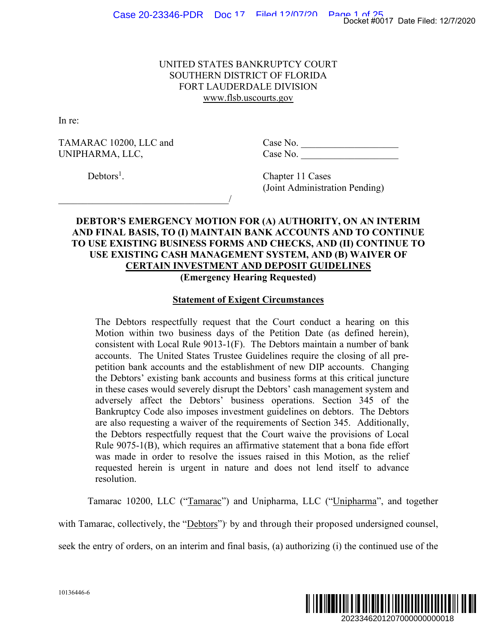# UNITED STATES BANKRUPTCY COURT SOUTHERN DISTRICT OF FLORIDA FORT LAUDERDALE DIVISION www.flsb.uscourts.gov

In re:

 $\overline{\phantom{a}}$ 

TAMARAC 10200, LLC and Case No. UNIPHARMA, LLC, Case No.

 $Debtors<sup>1</sup>$ .

. Chapter 11 Cases (Joint Administration Pending)

# **DEBTOR'S EMERGENCY MOTION FOR (A) AUTHORITY, ON AN INTERIM AND FINAL BASIS, TO (I) MAINTAIN BANK ACCOUNTS AND TO CONTINUE TO USE EXISTING BUSINESS FORMS AND CHECKS, AND (II) CONTINUE TO USE EXISTING CASH MANAGEMENT SYSTEM, AND (B) WAIVER OF CERTAIN INVESTMENT AND DEPOSIT GUIDELINES (Emergency Hearing Requested)**

# **Statement of Exigent Circumstances**

The Debtors respectfully request that the Court conduct a hearing on this Motion within two business days of the Petition Date (as defined herein), consistent with Local Rule 9013-1(F). The Debtors maintain a number of bank accounts. The United States Trustee Guidelines require the closing of all prepetition bank accounts and the establishment of new DIP accounts. Changing the Debtors' existing bank accounts and business forms at this critical juncture in these cases would severely disrupt the Debtors' cash management system and adversely affect the Debtors' business operations. Section 345 of the Bankruptcy Code also imposes investment guidelines on debtors. The Debtors are also requesting a waiver of the requirements of Section 345. Additionally, the Debtors respectfully request that the Court waive the provisions of Local Rule 9075-1(B), which requires an affirmative statement that a bona fide effort was made in order to resolve the issues raised in this Motion, as the relief requested herein is urgent in nature and does not lend itself to advance resolution. Docket #0017 Date Filed: 12/7/2020<br> **2023** ON AN INTERIM<br> **2020**<br> **2020**<br> **2020**<br> **2020**<br> **2020**<br> **2020**<br> **2020**<br> **20202344620120700000000018**<br> **202023446201207000000000018**<br> **2020234462012070000000000018** 

Tamarac 10200, LLC ("Tamarac") and Unipharma, LLC ("Unipharma", and together

with Tamarac, collectively, the "Debtors") by and through their proposed undersigned counsel,

seek the entry of orders, on an interim and final basis, (a) authorizing (i) the continued use of the

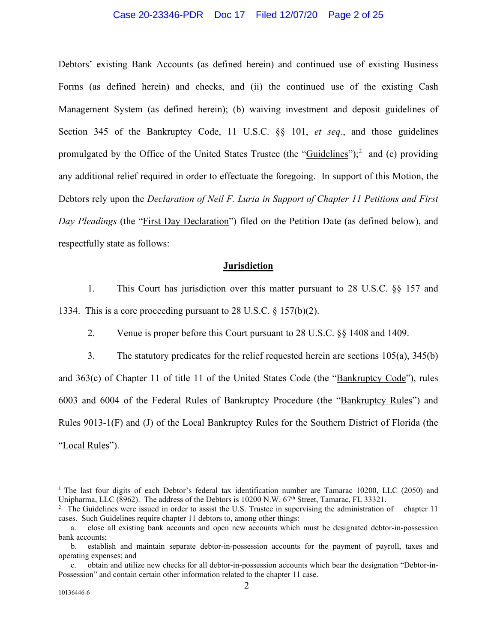#### Case 20-23346-PDR Doc 17 Filed 12/07/20 Page 2 of 25

Debtors' existing Bank Accounts (as defined herein) and continued use of existing Business Forms (as defined herein) and checks, and (ii) the continued use of the existing Cash Management System (as defined herein); (b) waiving investment and deposit guidelines of Section 345 of the Bankruptcy Code, 11 U.S.C. §§ 101, *et seq*., and those guidelines promulgated by the Office of the United States Trustee (the "Guidelines");<sup>2</sup> and (c) providing any additional relief required in order to effectuate the foregoing. In support of this Motion, the Debtors rely upon the *Declaration of Neil F. Luria in Support of Chapter 11 Petitions and First Day Pleadings* (the "First Day Declaration") filed on the Petition Date (as defined below), and respectfully state as follows:

#### **Jurisdiction**

1. This Court has jurisdiction over this matter pursuant to 28 U.S.C. §§ 157 and 1334. This is a core proceeding pursuant to 28 U.S.C. § 157(b)(2).

2. Venue is proper before this Court pursuant to 28 U.S.C. §§ 1408 and 1409.

3. The statutory predicates for the relief requested herein are sections 105(a), 345(b) and 363(c) of Chapter 11 of title 11 of the United States Code (the "Bankruptcy Code"), rules 6003 and 6004 of the Federal Rules of Bankruptcy Procedure (the "Bankruptcy Rules") and Rules 9013-1(F) and (J) of the Local Bankruptcy Rules for the Southern District of Florida (the "Local Rules").

<sup>&</sup>lt;sup>1</sup> The last four digits of each Debtor's federal tax identification number are Tamarac 10200, LLC (2050) and Unipharma, LLC (8962). The address of the Debtors is 10200 N.W. 67<sup>th</sup> Street, Tamarac, FL 33321.<br><sup>2</sup> The Guidelines were issued in order to assist the U.S. Trustee in supervising the administration of chapter 11

cases. Such Guidelines require chapter 11 debtors to, among other things:

a. close all existing bank accounts and open new accounts which must be designated debtor-in-possession bank accounts;

b. establish and maintain separate debtor-in-possession accounts for the payment of payroll, taxes and operating expenses; and

c. obtain and utilize new checks for all debtor-in-possession accounts which bear the designation "Debtor-in-Possession" and contain certain other information related to the chapter 11 case.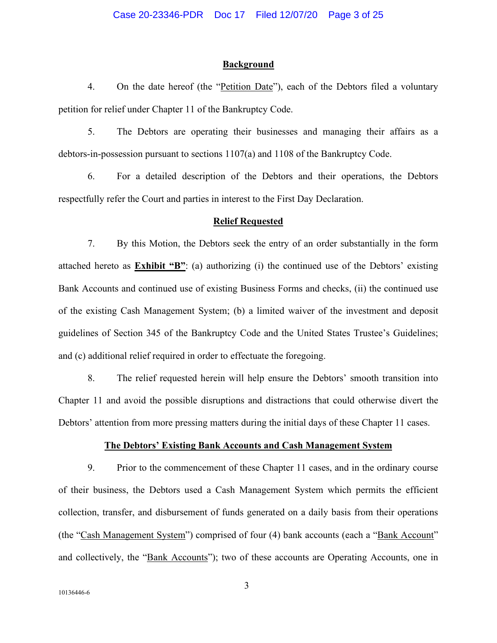## **Background**

4. On the date hereof (the "Petition Date"), each of the Debtors filed a voluntary petition for relief under Chapter 11 of the Bankruptcy Code.

5. The Debtors are operating their businesses and managing their affairs as a debtors-in-possession pursuant to sections 1107(a) and 1108 of the Bankruptcy Code.

6. For a detailed description of the Debtors and their operations, the Debtors respectfully refer the Court and parties in interest to the First Day Declaration.

## **Relief Requested**

7. By this Motion, the Debtors seek the entry of an order substantially in the form attached hereto as **Exhibit "B"**: (a) authorizing (i) the continued use of the Debtors' existing Bank Accounts and continued use of existing Business Forms and checks, (ii) the continued use of the existing Cash Management System; (b) a limited waiver of the investment and deposit guidelines of Section 345 of the Bankruptcy Code and the United States Trustee's Guidelines; and (c) additional relief required in order to effectuate the foregoing.

8. The relief requested herein will help ensure the Debtors' smooth transition into Chapter 11 and avoid the possible disruptions and distractions that could otherwise divert the Debtors' attention from more pressing matters during the initial days of these Chapter 11 cases.

#### **The Debtors' Existing Bank Accounts and Cash Management System**

9. Prior to the commencement of these Chapter 11 cases, and in the ordinary course of their business, the Debtors used a Cash Management System which permits the efficient collection, transfer, and disbursement of funds generated on a daily basis from their operations (the "Cash Management System") comprised of four (4) bank accounts (each a "Bank Account" and collectively, the "Bank Accounts"); two of these accounts are Operating Accounts, one in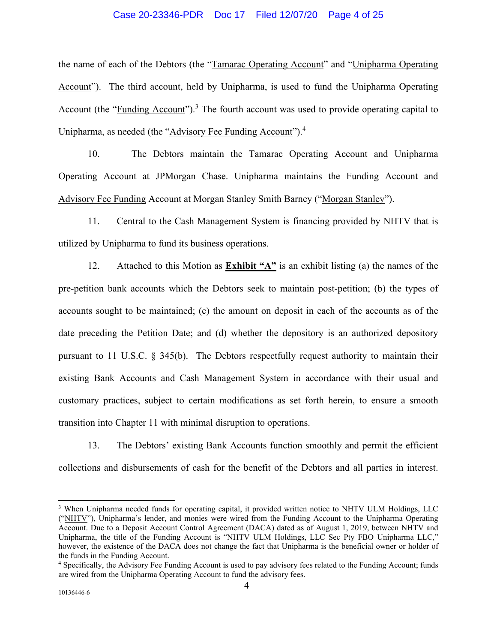#### Case 20-23346-PDR Doc 17 Filed 12/07/20 Page 4 of 25

the name of each of the Debtors (the "Tamarac Operating Account" and "Unipharma Operating Account"). The third account, held by Unipharma, is used to fund the Unipharma Operating Account (the "Funding Account").<sup>3</sup> The fourth account was used to provide operating capital to Unipharma, as needed (the "Advisory Fee Funding Account").<sup>4</sup>

10. The Debtors maintain the Tamarac Operating Account and Unipharma Operating Account at JPMorgan Chase. Unipharma maintains the Funding Account and Advisory Fee Funding Account at Morgan Stanley Smith Barney ("Morgan Stanley").

11. Central to the Cash Management System is financing provided by NHTV that is utilized by Unipharma to fund its business operations.

12. Attached to this Motion as **Exhibit "A"** is an exhibit listing (a) the names of the pre-petition bank accounts which the Debtors seek to maintain post-petition; (b) the types of accounts sought to be maintained; (c) the amount on deposit in each of the accounts as of the date preceding the Petition Date; and (d) whether the depository is an authorized depository pursuant to 11 U.S.C. § 345(b). The Debtors respectfully request authority to maintain their existing Bank Accounts and Cash Management System in accordance with their usual and customary practices, subject to certain modifications as set forth herein, to ensure a smooth transition into Chapter 11 with minimal disruption to operations.

13. The Debtors' existing Bank Accounts function smoothly and permit the efficient collections and disbursements of cash for the benefit of the Debtors and all parties in interest.

<sup>&</sup>lt;sup>3</sup> When Unipharma needed funds for operating capital, it provided written notice to NHTV ULM Holdings, LLC ("NHTV"), Unipharma's lender, and monies were wired from the Funding Account to the Unipharma Operating Account. Due to a Deposit Account Control Agreement (DACA) dated as of August 1, 2019, between NHTV and Unipharma, the title of the Funding Account is "NHTV ULM Holdings, LLC Sec Pty FBO Unipharma LLC," however, the existence of the DACA does not change the fact that Unipharma is the beneficial owner or holder of the funds in the Funding Account.

<sup>4</sup> Specifically, the Advisory Fee Funding Account is used to pay advisory fees related to the Funding Account; funds are wired from the Unipharma Operating Account to fund the advisory fees.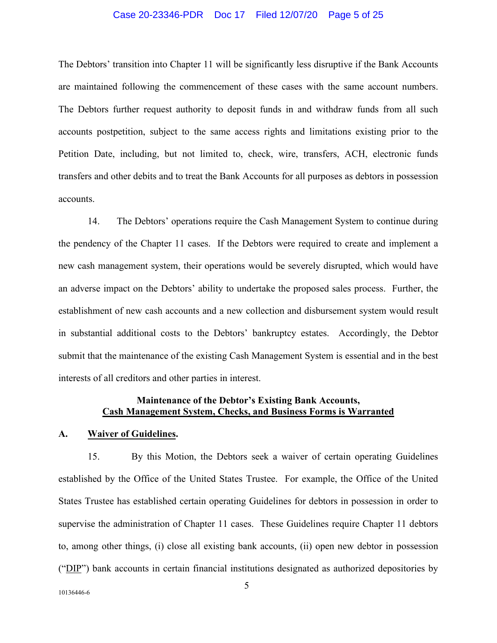#### Case 20-23346-PDR Doc 17 Filed 12/07/20 Page 5 of 25

The Debtors' transition into Chapter 11 will be significantly less disruptive if the Bank Accounts are maintained following the commencement of these cases with the same account numbers. The Debtors further request authority to deposit funds in and withdraw funds from all such accounts postpetition, subject to the same access rights and limitations existing prior to the Petition Date, including, but not limited to, check, wire, transfers, ACH, electronic funds transfers and other debits and to treat the Bank Accounts for all purposes as debtors in possession accounts.

14. The Debtors' operations require the Cash Management System to continue during the pendency of the Chapter 11 cases. If the Debtors were required to create and implement a new cash management system, their operations would be severely disrupted, which would have an adverse impact on the Debtors' ability to undertake the proposed sales process. Further, the establishment of new cash accounts and a new collection and disbursement system would result in substantial additional costs to the Debtors' bankruptcy estates. Accordingly, the Debtor submit that the maintenance of the existing Cash Management System is essential and in the best interests of all creditors and other parties in interest.

# **Maintenance of the Debtor's Existing Bank Accounts, Cash Management System, Checks, and Business Forms is Warranted**

#### **A. Waiver of Guidelines.**

15. By this Motion, the Debtors seek a waiver of certain operating Guidelines established by the Office of the United States Trustee. For example, the Office of the United States Trustee has established certain operating Guidelines for debtors in possession in order to supervise the administration of Chapter 11 cases. These Guidelines require Chapter 11 debtors to, among other things, (i) close all existing bank accounts, (ii) open new debtor in possession ("DIP") bank accounts in certain financial institutions designated as authorized depositories by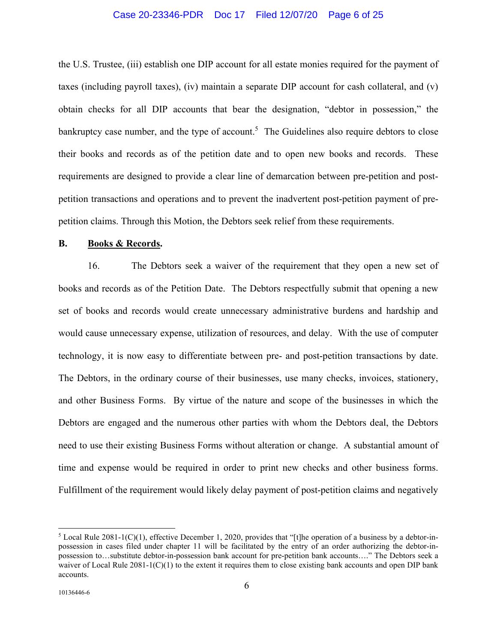#### Case 20-23346-PDR Doc 17 Filed 12/07/20 Page 6 of 25

the U.S. Trustee, (iii) establish one DIP account for all estate monies required for the payment of taxes (including payroll taxes), (iv) maintain a separate DIP account for cash collateral, and (v) obtain checks for all DIP accounts that bear the designation, "debtor in possession," the bankruptcy case number, and the type of account.<sup>5</sup> The Guidelines also require debtors to close their books and records as of the petition date and to open new books and records. These requirements are designed to provide a clear line of demarcation between pre-petition and postpetition transactions and operations and to prevent the inadvertent post-petition payment of prepetition claims. Through this Motion, the Debtors seek relief from these requirements.

## **B. Books & Records.**

16. The Debtors seek a waiver of the requirement that they open a new set of books and records as of the Petition Date. The Debtors respectfully submit that opening a new set of books and records would create unnecessary administrative burdens and hardship and would cause unnecessary expense, utilization of resources, and delay. With the use of computer technology, it is now easy to differentiate between pre- and post-petition transactions by date. The Debtors, in the ordinary course of their businesses, use many checks, invoices, stationery, and other Business Forms. By virtue of the nature and scope of the businesses in which the Debtors are engaged and the numerous other parties with whom the Debtors deal, the Debtors need to use their existing Business Forms without alteration or change. A substantial amount of time and expense would be required in order to print new checks and other business forms. Fulfillment of the requirement would likely delay payment of post-petition claims and negatively

<sup>&</sup>lt;sup>5</sup> Local Rule 2081-1(C)(1), effective December 1, 2020, provides that "[t]he operation of a business by a debtor-inpossession in cases filed under chapter 11 will be facilitated by the entry of an order authorizing the debtor-inpossession to…substitute debtor-in-possession bank account for pre-petition bank accounts…." The Debtors seek a waiver of Local Rule  $2081-1(C)(1)$  to the extent it requires them to close existing bank accounts and open DIP bank accounts.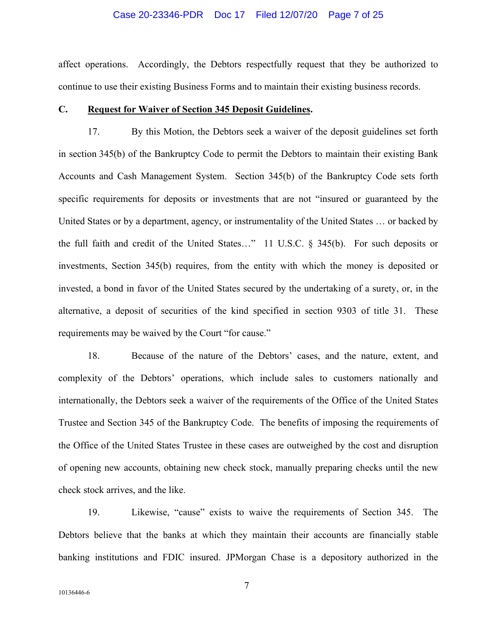#### Case 20-23346-PDR Doc 17 Filed 12/07/20 Page 7 of 25

affect operations. Accordingly, the Debtors respectfully request that they be authorized to continue to use their existing Business Forms and to maintain their existing business records.

## **C. Request for Waiver of Section 345 Deposit Guidelines.**

17. By this Motion, the Debtors seek a waiver of the deposit guidelines set forth in section 345(b) of the Bankruptcy Code to permit the Debtors to maintain their existing Bank Accounts and Cash Management System. Section 345(b) of the Bankruptcy Code sets forth specific requirements for deposits or investments that are not "insured or guaranteed by the United States or by a department, agency, or instrumentality of the United States … or backed by the full faith and credit of the United States…" 11 U.S.C. § 345(b). For such deposits or investments, Section 345(b) requires, from the entity with which the money is deposited or invested, a bond in favor of the United States secured by the undertaking of a surety, or, in the alternative, a deposit of securities of the kind specified in section 9303 of title 31. These requirements may be waived by the Court "for cause."

18. Because of the nature of the Debtors' cases, and the nature, extent, and complexity of the Debtors' operations, which include sales to customers nationally and internationally, the Debtors seek a waiver of the requirements of the Office of the United States Trustee and Section 345 of the Bankruptcy Code. The benefits of imposing the requirements of the Office of the United States Trustee in these cases are outweighed by the cost and disruption of opening new accounts, obtaining new check stock, manually preparing checks until the new check stock arrives, and the like.

19. Likewise, "cause" exists to waive the requirements of Section 345. The Debtors believe that the banks at which they maintain their accounts are financially stable banking institutions and FDIC insured. JPMorgan Chase is a depository authorized in the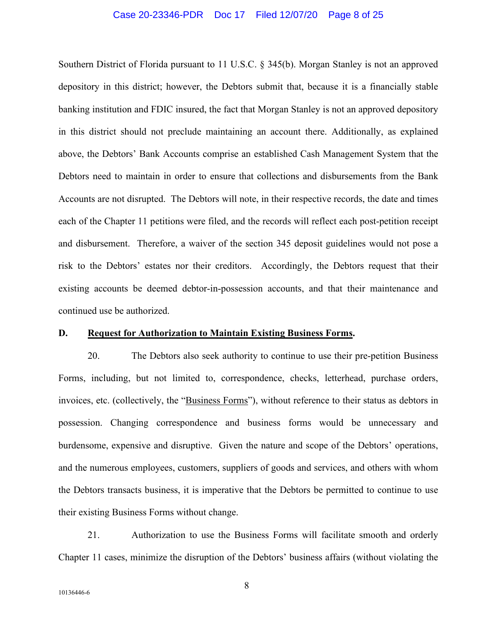#### Case 20-23346-PDR Doc 17 Filed 12/07/20 Page 8 of 25

Southern District of Florida pursuant to 11 U.S.C. § 345(b). Morgan Stanley is not an approved depository in this district; however, the Debtors submit that, because it is a financially stable banking institution and FDIC insured, the fact that Morgan Stanley is not an approved depository in this district should not preclude maintaining an account there. Additionally, as explained above, the Debtors' Bank Accounts comprise an established Cash Management System that the Debtors need to maintain in order to ensure that collections and disbursements from the Bank Accounts are not disrupted. The Debtors will note, in their respective records, the date and times each of the Chapter 11 petitions were filed, and the records will reflect each post-petition receipt and disbursement. Therefore, a waiver of the section 345 deposit guidelines would not pose a risk to the Debtors' estates nor their creditors. Accordingly, the Debtors request that their existing accounts be deemed debtor-in-possession accounts, and that their maintenance and continued use be authorized.

## **D. Request for Authorization to Maintain Existing Business Forms.**

20. The Debtors also seek authority to continue to use their pre-petition Business Forms, including, but not limited to, correspondence, checks, letterhead, purchase orders, invoices, etc. (collectively, the "Business Forms"), without reference to their status as debtors in possession. Changing correspondence and business forms would be unnecessary and burdensome, expensive and disruptive. Given the nature and scope of the Debtors' operations, and the numerous employees, customers, suppliers of goods and services, and others with whom the Debtors transacts business, it is imperative that the Debtors be permitted to continue to use their existing Business Forms without change.

21. Authorization to use the Business Forms will facilitate smooth and orderly Chapter 11 cases, minimize the disruption of the Debtors' business affairs (without violating the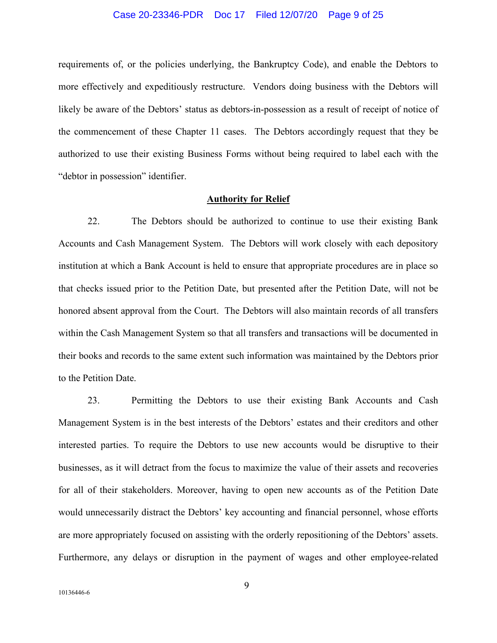#### Case 20-23346-PDR Doc 17 Filed 12/07/20 Page 9 of 25

requirements of, or the policies underlying, the Bankruptcy Code), and enable the Debtors to more effectively and expeditiously restructure. Vendors doing business with the Debtors will likely be aware of the Debtors' status as debtors-in-possession as a result of receipt of notice of the commencement of these Chapter 11 cases. The Debtors accordingly request that they be authorized to use their existing Business Forms without being required to label each with the "debtor in possession" identifier.

#### **Authority for Relief**

22. The Debtors should be authorized to continue to use their existing Bank Accounts and Cash Management System. The Debtors will work closely with each depository institution at which a Bank Account is held to ensure that appropriate procedures are in place so that checks issued prior to the Petition Date, but presented after the Petition Date, will not be honored absent approval from the Court. The Debtors will also maintain records of all transfers within the Cash Management System so that all transfers and transactions will be documented in their books and records to the same extent such information was maintained by the Debtors prior to the Petition Date.

23. Permitting the Debtors to use their existing Bank Accounts and Cash Management System is in the best interests of the Debtors' estates and their creditors and other interested parties. To require the Debtors to use new accounts would be disruptive to their businesses, as it will detract from the focus to maximize the value of their assets and recoveries for all of their stakeholders. Moreover, having to open new accounts as of the Petition Date would unnecessarily distract the Debtors' key accounting and financial personnel, whose efforts are more appropriately focused on assisting with the orderly repositioning of the Debtors' assets. Furthermore, any delays or disruption in the payment of wages and other employee-related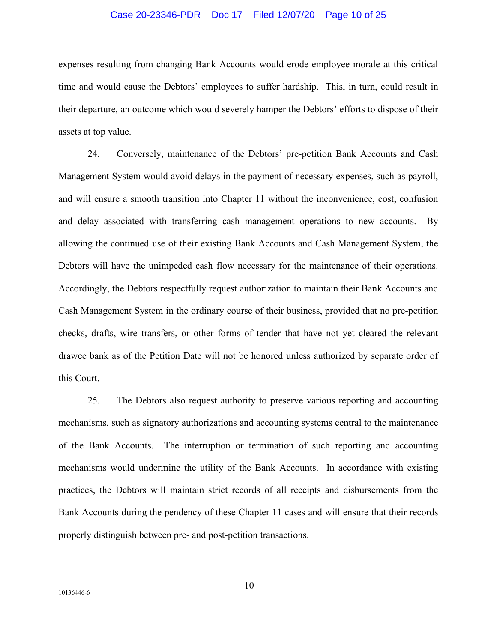#### Case 20-23346-PDR Doc 17 Filed 12/07/20 Page 10 of 25

expenses resulting from changing Bank Accounts would erode employee morale at this critical time and would cause the Debtors' employees to suffer hardship. This, in turn, could result in their departure, an outcome which would severely hamper the Debtors' efforts to dispose of their assets at top value.

24. Conversely, maintenance of the Debtors' pre-petition Bank Accounts and Cash Management System would avoid delays in the payment of necessary expenses, such as payroll, and will ensure a smooth transition into Chapter 11 without the inconvenience, cost, confusion and delay associated with transferring cash management operations to new accounts. By allowing the continued use of their existing Bank Accounts and Cash Management System, the Debtors will have the unimpeded cash flow necessary for the maintenance of their operations. Accordingly, the Debtors respectfully request authorization to maintain their Bank Accounts and Cash Management System in the ordinary course of their business, provided that no pre-petition checks, drafts, wire transfers, or other forms of tender that have not yet cleared the relevant drawee bank as of the Petition Date will not be honored unless authorized by separate order of this Court.

25. The Debtors also request authority to preserve various reporting and accounting mechanisms, such as signatory authorizations and accounting systems central to the maintenance of the Bank Accounts. The interruption or termination of such reporting and accounting mechanisms would undermine the utility of the Bank Accounts. In accordance with existing practices, the Debtors will maintain strict records of all receipts and disbursements from the Bank Accounts during the pendency of these Chapter 11 cases and will ensure that their records properly distinguish between pre- and post-petition transactions.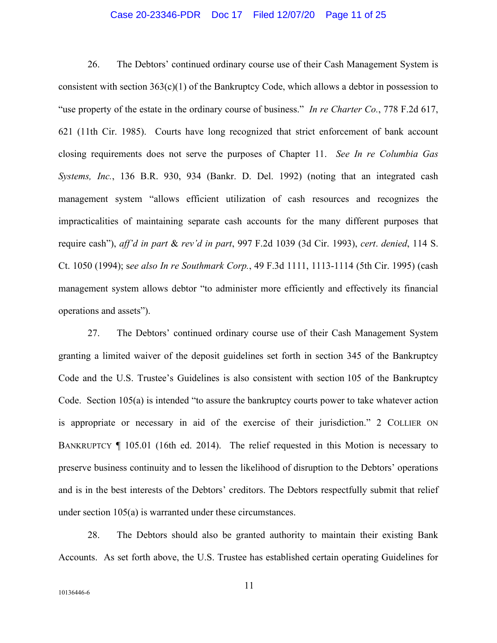#### Case 20-23346-PDR Doc 17 Filed 12/07/20 Page 11 of 25

26. The Debtors' continued ordinary course use of their Cash Management System is consistent with section  $363(c)(1)$  of the Bankruptcy Code, which allows a debtor in possession to "use property of the estate in the ordinary course of business." *In re Charter Co.*, 778 F.2d 617, 621 (11th Cir. 1985). Courts have long recognized that strict enforcement of bank account closing requirements does not serve the purposes of Chapter 11. *See In re Columbia Gas Systems, Inc.*, 136 B.R. 930, 934 (Bankr. D. Del. 1992) (noting that an integrated cash management system "allows efficient utilization of cash resources and recognizes the impracticalities of maintaining separate cash accounts for the many different purposes that require cash"), *aff'd in part* & *rev'd in part*, 997 F.2d 1039 (3d Cir. 1993), *cert*. *denied*, 114 S. Ct. 1050 (1994); s*ee also In re Southmark Corp.*, 49 F.3d 1111, 1113-1114 (5th Cir. 1995) (cash management system allows debtor "to administer more efficiently and effectively its financial operations and assets").

27. The Debtors' continued ordinary course use of their Cash Management System granting a limited waiver of the deposit guidelines set forth in section 345 of the Bankruptcy Code and the U.S. Trustee's Guidelines is also consistent with section 105 of the Bankruptcy Code. Section 105(a) is intended "to assure the bankruptcy courts power to take whatever action is appropriate or necessary in aid of the exercise of their jurisdiction." 2 COLLIER ON BANKRUPTCY ¶ 105.01 (16th ed. 2014). The relief requested in this Motion is necessary to preserve business continuity and to lessen the likelihood of disruption to the Debtors' operations and is in the best interests of the Debtors' creditors. The Debtors respectfully submit that relief under section 105(a) is warranted under these circumstances.

28. The Debtors should also be granted authority to maintain their existing Bank Accounts. As set forth above, the U.S. Trustee has established certain operating Guidelines for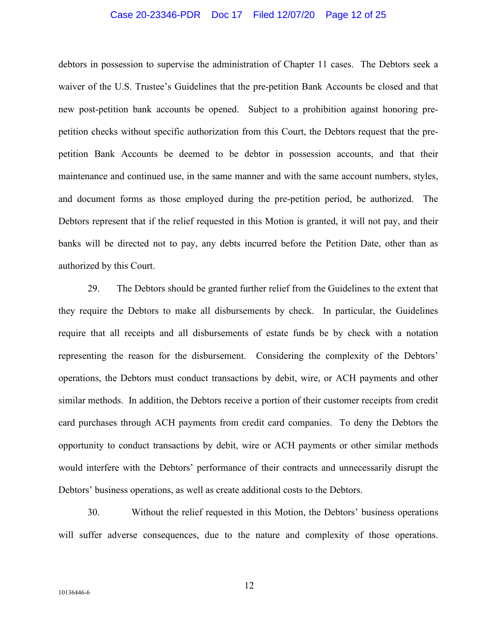#### Case 20-23346-PDR Doc 17 Filed 12/07/20 Page 12 of 25

debtors in possession to supervise the administration of Chapter 11 cases. The Debtors seek a waiver of the U.S. Trustee's Guidelines that the pre-petition Bank Accounts be closed and that new post-petition bank accounts be opened. Subject to a prohibition against honoring prepetition checks without specific authorization from this Court, the Debtors request that the prepetition Bank Accounts be deemed to be debtor in possession accounts, and that their maintenance and continued use, in the same manner and with the same account numbers, styles, and document forms as those employed during the pre-petition period, be authorized. The Debtors represent that if the relief requested in this Motion is granted, it will not pay, and their banks will be directed not to pay, any debts incurred before the Petition Date, other than as authorized by this Court.

29. The Debtors should be granted further relief from the Guidelines to the extent that they require the Debtors to make all disbursements by check. In particular, the Guidelines require that all receipts and all disbursements of estate funds be by check with a notation representing the reason for the disbursement. Considering the complexity of the Debtors' operations, the Debtors must conduct transactions by debit, wire, or ACH payments and other similar methods. In addition, the Debtors receive a portion of their customer receipts from credit card purchases through ACH payments from credit card companies. To deny the Debtors the opportunity to conduct transactions by debit, wire or ACH payments or other similar methods would interfere with the Debtors' performance of their contracts and unnecessarily disrupt the Debtors' business operations, as well as create additional costs to the Debtors.

30. Without the relief requested in this Motion, the Debtors' business operations will suffer adverse consequences, due to the nature and complexity of those operations.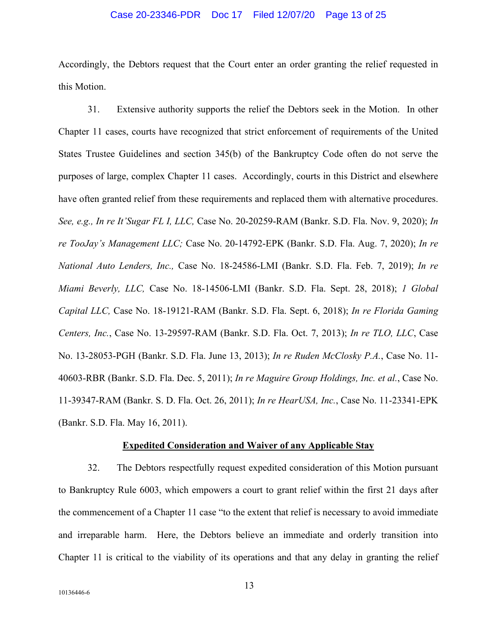#### Case 20-23346-PDR Doc 17 Filed 12/07/20 Page 13 of 25

Accordingly, the Debtors request that the Court enter an order granting the relief requested in this Motion.

31. Extensive authority supports the relief the Debtors seek in the Motion. In other Chapter 11 cases, courts have recognized that strict enforcement of requirements of the United States Trustee Guidelines and section 345(b) of the Bankruptcy Code often do not serve the purposes of large, complex Chapter 11 cases. Accordingly, courts in this District and elsewhere have often granted relief from these requirements and replaced them with alternative procedures. *See, e.g., In re It'Sugar FL I, LLC,* Case No. 20-20259-RAM (Bankr. S.D. Fla. Nov. 9, 2020); *In re TooJay's Management LLC;* Case No. 20-14792-EPK (Bankr. S.D. Fla. Aug. 7, 2020); *In re National Auto Lenders, Inc.,* Case No. 18-24586-LMI (Bankr. S.D. Fla. Feb. 7, 2019); *In re Miami Beverly, LLC,* Case No. 18-14506-LMI (Bankr. S.D. Fla. Sept. 28, 2018); *1 Global Capital LLC,* Case No. 18-19121-RAM (Bankr. S.D. Fla. Sept. 6, 2018); *In re Florida Gaming Centers, Inc.*, Case No. 13-29597-RAM (Bankr. S.D. Fla. Oct. 7, 2013); *In re TLO, LLC*, Case No. 13-28053-PGH (Bankr. S.D. Fla. June 13, 2013); *In re Ruden McClosky P.A.*, Case No. 11- 40603-RBR (Bankr. S.D. Fla. Dec. 5, 2011); *In re Maguire Group Holdings, Inc. et al.*, Case No. 11-39347-RAM (Bankr. S. D. Fla. Oct. 26, 2011); *In re HearUSA, Inc.*, Case No. 11-23341-EPK (Bankr. S.D. Fla. May 16, 2011).

#### **Expedited Consideration and Waiver of any Applicable Stay**

32. The Debtors respectfully request expedited consideration of this Motion pursuant to Bankruptcy Rule 6003, which empowers a court to grant relief within the first 21 days after the commencement of a Chapter 11 case "to the extent that relief is necessary to avoid immediate and irreparable harm. Here, the Debtors believe an immediate and orderly transition into Chapter 11 is critical to the viability of its operations and that any delay in granting the relief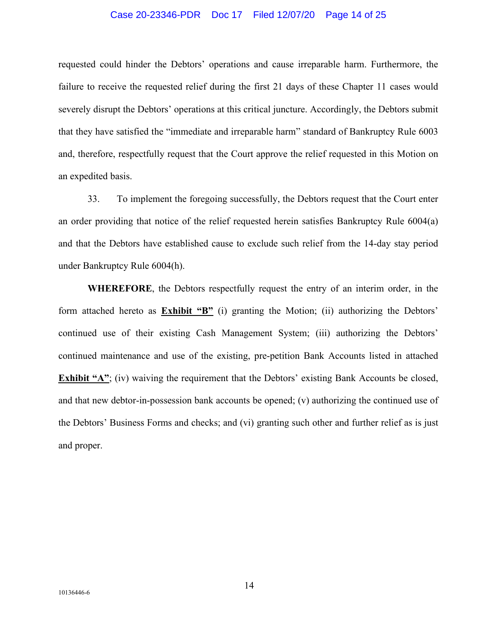#### Case 20-23346-PDR Doc 17 Filed 12/07/20 Page 14 of 25

requested could hinder the Debtors' operations and cause irreparable harm. Furthermore, the failure to receive the requested relief during the first 21 days of these Chapter 11 cases would severely disrupt the Debtors' operations at this critical juncture. Accordingly, the Debtors submit that they have satisfied the "immediate and irreparable harm" standard of Bankruptcy Rule 6003 and, therefore, respectfully request that the Court approve the relief requested in this Motion on an expedited basis.

33. To implement the foregoing successfully, the Debtors request that the Court enter an order providing that notice of the relief requested herein satisfies Bankruptcy Rule 6004(a) and that the Debtors have established cause to exclude such relief from the 14-day stay period under Bankruptcy Rule 6004(h).

**WHEREFORE**, the Debtors respectfully request the entry of an interim order, in the form attached hereto as **Exhibit "B"** (i) granting the Motion; (ii) authorizing the Debtors' continued use of their existing Cash Management System; (iii) authorizing the Debtors' continued maintenance and use of the existing, pre-petition Bank Accounts listed in attached **Exhibit "A"**; (iv) waiving the requirement that the Debtors' existing Bank Accounts be closed, and that new debtor-in-possession bank accounts be opened; (v) authorizing the continued use of the Debtors' Business Forms and checks; and (vi) granting such other and further relief as is just and proper.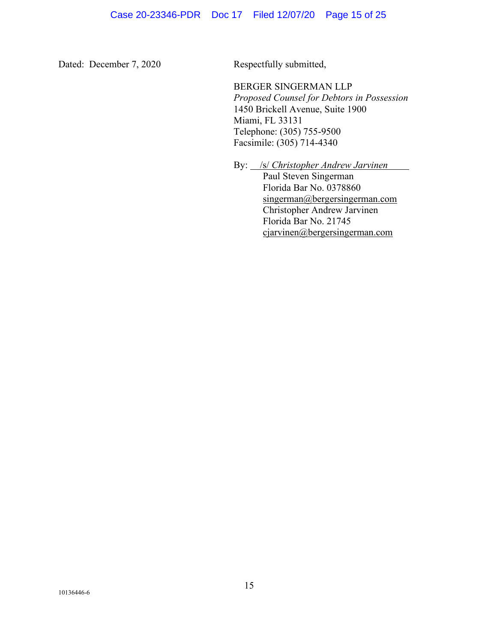Dated: December 7, 2020 Respectfully submitted,

 BERGER SINGERMAN LLP *Proposed Counsel for Debtors in Possession*  1450 Brickell Avenue, Suite 1900 Miami, FL 33131 Telephone: (305) 755-9500 Facsimile: (305) 714-4340

By: /s/ *Christopher Andrew Jarvinen*

 Paul Steven Singerman Florida Bar No. 0378860 singerman@bergersingerman.com Christopher Andrew Jarvinen Florida Bar No. 21745 cjarvinen@bergersingerman.com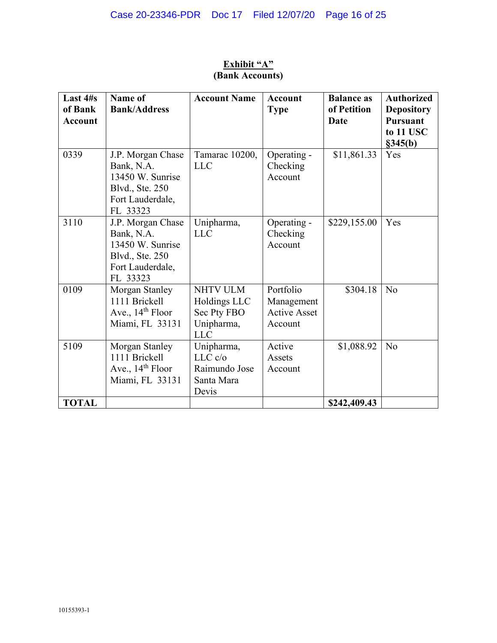| Last 4#s<br>of Bank<br><b>Account</b> | Name of<br><b>Bank/Address</b>                                                                         | <b>Account Name</b>                                                 | <b>Account</b><br><b>Type</b>                      | <b>Balance as</b><br>of Petition<br>Date | <b>Authorized</b><br><b>Depository</b><br><b>Pursuant</b><br>to 11 USC<br>§345(b) |
|---------------------------------------|--------------------------------------------------------------------------------------------------------|---------------------------------------------------------------------|----------------------------------------------------|------------------------------------------|-----------------------------------------------------------------------------------|
| 0339                                  | J.P. Morgan Chase<br>Bank, N.A.<br>13450 W. Sunrise<br>Blvd., Ste. 250<br>Fort Lauderdale,<br>FL 33323 | Tamarac 10200,<br><b>LLC</b>                                        | Operating -<br>Checking<br>Account                 | \$11,861.33                              | Yes                                                                               |
| 3110                                  | J.P. Morgan Chase<br>Bank, N.A.<br>13450 W. Sunrise<br>Blvd., Ste. 250<br>Fort Lauderdale,<br>FL 33323 | Unipharma,<br><b>LLC</b>                                            | Operating -<br>Checking<br>Account                 | \$229,155.00                             | Yes                                                                               |
| 0109                                  | Morgan Stanley<br>1111 Brickell<br>Ave., $14th$ Floor<br>Miami, FL 33131                               | NHTV ULM<br>Holdings LLC<br>Sec Pty FBO<br>Unipharma,<br><b>LLC</b> | Portfolio<br>Management<br>Active Asset<br>Account | \$304.18                                 | N <sub>o</sub>                                                                    |
| 5109                                  | Morgan Stanley<br>1111 Brickell<br>Ave., $14th$ Floor<br>Miami, FL 33131                               | Unipharma,<br>LLC c/o<br>Raimundo Jose<br>Santa Mara<br>Devis       | Active<br>Assets<br>Account                        | \$1,088.92                               | No                                                                                |
| <b>TOTAL</b>                          |                                                                                                        |                                                                     |                                                    | \$242,409.43                             |                                                                                   |

# **Exhibit "A" (Bank Accounts)**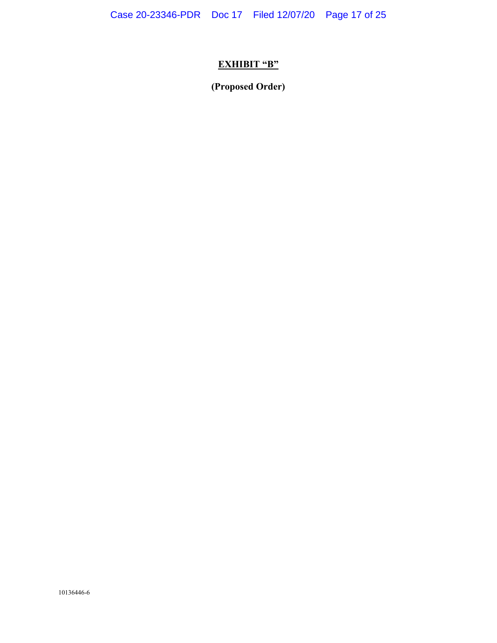Case 20-23346-PDR Doc 17 Filed 12/07/20 Page 17 of 25

# **EXHIBIT "B"**

**(Proposed Order)**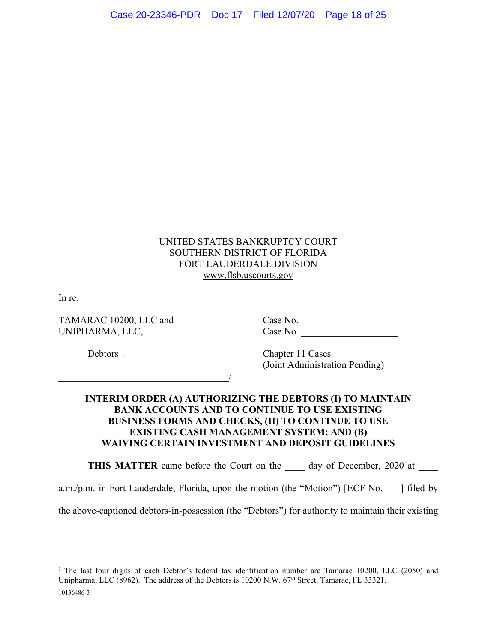# UNITED STATES BANKRUPTCY COURT SOUTHERN DISTRICT OF FLORIDA FORT LAUDERDALE DIVISION www.flsb.uscourts.gov

In re:

 $\overline{\phantom{a}}$ 

TAMARAC 10200, LLC and Case No. \_\_\_\_\_\_\_\_\_\_\_\_\_\_\_\_\_\_\_\_ UNIPHARMA, LLC, Case No.

 $Debtors<sup>1</sup>$ .

. Chapter 11 Cases (Joint Administration Pending)

# **INTERIM ORDER (A) AUTHORIZING THE DEBTORS (I) TO MAINTAIN BANK ACCOUNTS AND TO CONTINUE TO USE EXISTING BUSINESS FORMS AND CHECKS, (II) TO CONTINUE TO USE EXISTING CASH MANAGEMENT SYSTEM; AND (B) WAIVING CERTAIN INVESTMENT AND DEPOSIT GUIDELINES**

**THIS MATTER** came before the Court on the day of December, 2020 at

a.m./p.m. in Fort Lauderdale, Florida, upon the motion (the "Motion") [ECF No. ] filed by

the above-captioned debtors-in-possession (the "Debtors") for authority to maintain their existing

<sup>10136486-3</sup>  <sup>1</sup> The last four digits of each Debtor's federal tax identification number are Tamarac 10200, LLC (2050) and Unipharma, LLC (8962). The address of the Debtors is 10200 N.W. 67<sup>th</sup> Street, Tamarac, FL 33321.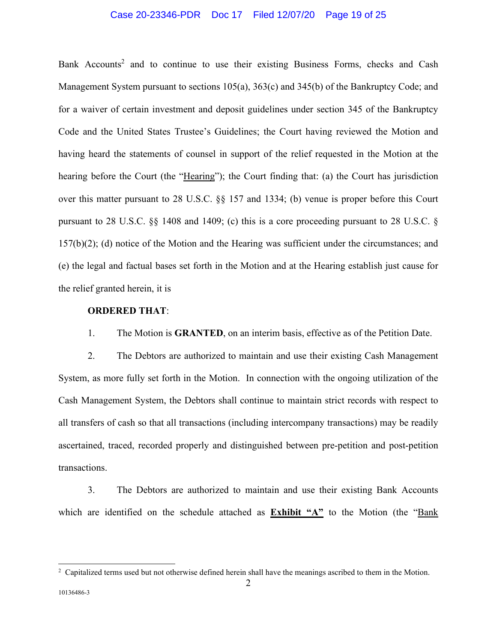## Case 20-23346-PDR Doc 17 Filed 12/07/20 Page 19 of 25

Bank Accounts<sup>2</sup> and to continue to use their existing Business Forms, checks and Cash Management System pursuant to sections 105(a), 363(c) and 345(b) of the Bankruptcy Code; and for a waiver of certain investment and deposit guidelines under section 345 of the Bankruptcy Code and the United States Trustee's Guidelines; the Court having reviewed the Motion and having heard the statements of counsel in support of the relief requested in the Motion at the hearing before the Court (the "Hearing"); the Court finding that: (a) the Court has jurisdiction over this matter pursuant to 28 U.S.C. §§ 157 and 1334; (b) venue is proper before this Court pursuant to 28 U.S.C. §§ 1408 and 1409; (c) this is a core proceeding pursuant to 28 U.S.C. § 157(b)(2); (d) notice of the Motion and the Hearing was sufficient under the circumstances; and (e) the legal and factual bases set forth in the Motion and at the Hearing establish just cause for the relief granted herein, it is

## **ORDERED THAT**:

1. The Motion is **GRANTED**, on an interim basis, effective as of the Petition Date.

2. The Debtors are authorized to maintain and use their existing Cash Management System, as more fully set forth in the Motion. In connection with the ongoing utilization of the Cash Management System, the Debtors shall continue to maintain strict records with respect to all transfers of cash so that all transactions (including intercompany transactions) may be readily ascertained, traced, recorded properly and distinguished between pre-petition and post-petition transactions.

3. The Debtors are authorized to maintain and use their existing Bank Accounts which are identified on the schedule attached as **Exhibit "A"** to the Motion (the "Bank

<sup>&</sup>lt;sup>2</sup> Capitalized terms used but not otherwise defined herein shall have the meanings ascribed to them in the Motion.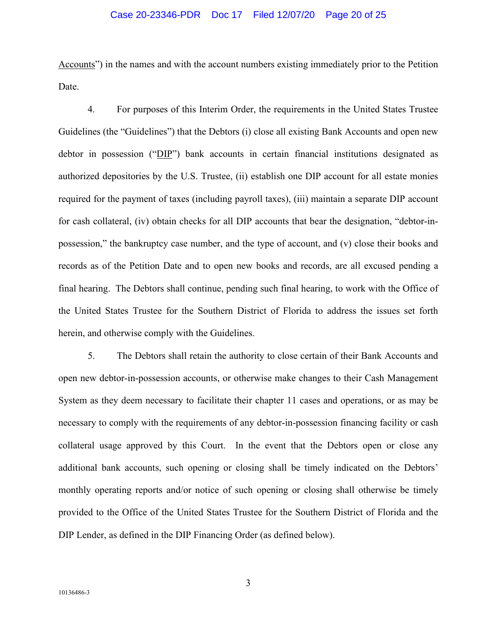#### Case 20-23346-PDR Doc 17 Filed 12/07/20 Page 20 of 25

Accounts") in the names and with the account numbers existing immediately prior to the Petition Date.

4. For purposes of this Interim Order, the requirements in the United States Trustee Guidelines (the "Guidelines") that the Debtors (i) close all existing Bank Accounts and open new debtor in possession ("DIP") bank accounts in certain financial institutions designated as authorized depositories by the U.S. Trustee, (ii) establish one DIP account for all estate monies required for the payment of taxes (including payroll taxes), (iii) maintain a separate DIP account for cash collateral, (iv) obtain checks for all DIP accounts that bear the designation, "debtor-inpossession," the bankruptcy case number, and the type of account, and (v) close their books and records as of the Petition Date and to open new books and records, are all excused pending a final hearing. The Debtors shall continue, pending such final hearing, to work with the Office of the United States Trustee for the Southern District of Florida to address the issues set forth herein, and otherwise comply with the Guidelines.

5. The Debtors shall retain the authority to close certain of their Bank Accounts and open new debtor-in-possession accounts, or otherwise make changes to their Cash Management System as they deem necessary to facilitate their chapter 11 cases and operations, or as may be necessary to comply with the requirements of any debtor-in-possession financing facility or cash collateral usage approved by this Court. In the event that the Debtors open or close any additional bank accounts, such opening or closing shall be timely indicated on the Debtors' monthly operating reports and/or notice of such opening or closing shall otherwise be timely provided to the Office of the United States Trustee for the Southern District of Florida and the DIP Lender, as defined in the DIP Financing Order (as defined below).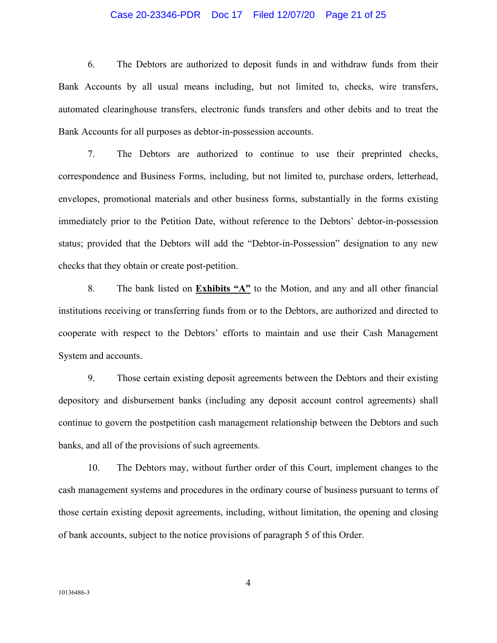#### Case 20-23346-PDR Doc 17 Filed 12/07/20 Page 21 of 25

6. The Debtors are authorized to deposit funds in and withdraw funds from their Bank Accounts by all usual means including, but not limited to, checks, wire transfers, automated clearinghouse transfers, electronic funds transfers and other debits and to treat the Bank Accounts for all purposes as debtor-in-possession accounts.

7. The Debtors are authorized to continue to use their preprinted checks, correspondence and Business Forms, including, but not limited to, purchase orders, letterhead, envelopes, promotional materials and other business forms, substantially in the forms existing immediately prior to the Petition Date, without reference to the Debtors' debtor-in-possession status; provided that the Debtors will add the "Debtor-in-Possession" designation to any new checks that they obtain or create post-petition.

8. The bank listed on **Exhibits "A"** to the Motion, and any and all other financial institutions receiving or transferring funds from or to the Debtors, are authorized and directed to cooperate with respect to the Debtors' efforts to maintain and use their Cash Management System and accounts.

9. Those certain existing deposit agreements between the Debtors and their existing depository and disbursement banks (including any deposit account control agreements) shall continue to govern the postpetition cash management relationship between the Debtors and such banks, and all of the provisions of such agreements.

10. The Debtors may, without further order of this Court, implement changes to the cash management systems and procedures in the ordinary course of business pursuant to terms of those certain existing deposit agreements, including, without limitation, the opening and closing of bank accounts, subject to the notice provisions of paragraph 5 of this Order.

4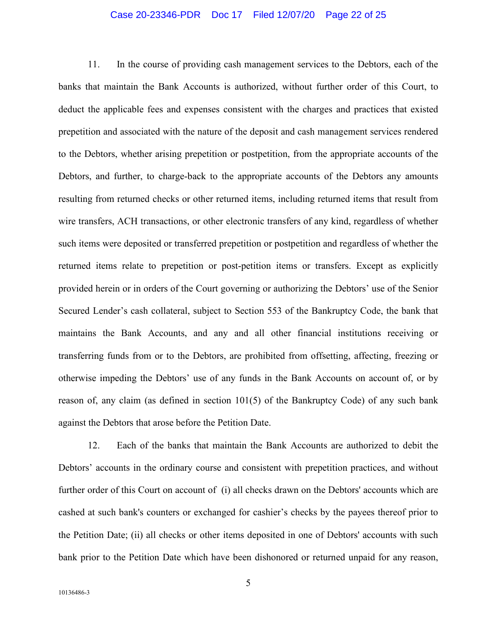#### Case 20-23346-PDR Doc 17 Filed 12/07/20 Page 22 of 25

11. In the course of providing cash management services to the Debtors, each of the banks that maintain the Bank Accounts is authorized, without further order of this Court, to deduct the applicable fees and expenses consistent with the charges and practices that existed prepetition and associated with the nature of the deposit and cash management services rendered to the Debtors, whether arising prepetition or postpetition, from the appropriate accounts of the Debtors, and further, to charge-back to the appropriate accounts of the Debtors any amounts resulting from returned checks or other returned items, including returned items that result from wire transfers, ACH transactions, or other electronic transfers of any kind, regardless of whether such items were deposited or transferred prepetition or postpetition and regardless of whether the returned items relate to prepetition or post-petition items or transfers. Except as explicitly provided herein or in orders of the Court governing or authorizing the Debtors' use of the Senior Secured Lender's cash collateral, subject to Section 553 of the Bankruptcy Code, the bank that maintains the Bank Accounts, and any and all other financial institutions receiving or transferring funds from or to the Debtors, are prohibited from offsetting, affecting, freezing or otherwise impeding the Debtors' use of any funds in the Bank Accounts on account of, or by reason of, any claim (as defined in section 101(5) of the Bankruptcy Code) of any such bank against the Debtors that arose before the Petition Date.

12. Each of the banks that maintain the Bank Accounts are authorized to debit the Debtors' accounts in the ordinary course and consistent with prepetition practices, and without further order of this Court on account of (i) all checks drawn on the Debtors' accounts which are cashed at such bank's counters or exchanged for cashier's checks by the payees thereof prior to the Petition Date; (ii) all checks or other items deposited in one of Debtors' accounts with such bank prior to the Petition Date which have been dishonored or returned unpaid for any reason,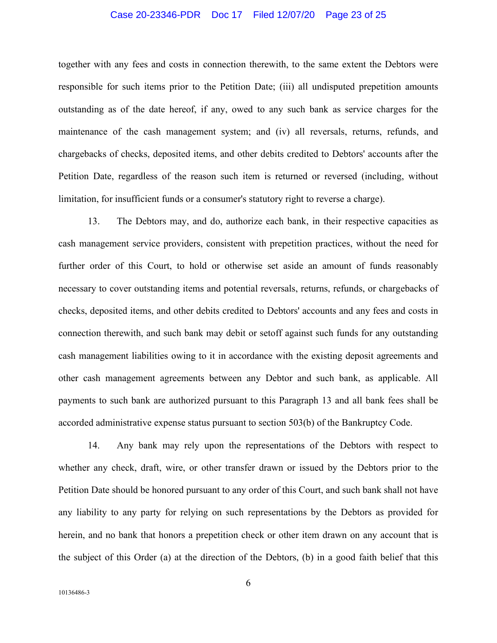#### Case 20-23346-PDR Doc 17 Filed 12/07/20 Page 23 of 25

together with any fees and costs in connection therewith, to the same extent the Debtors were responsible for such items prior to the Petition Date; (iii) all undisputed prepetition amounts outstanding as of the date hereof, if any, owed to any such bank as service charges for the maintenance of the cash management system; and (iv) all reversals, returns, refunds, and chargebacks of checks, deposited items, and other debits credited to Debtors' accounts after the Petition Date, regardless of the reason such item is returned or reversed (including, without limitation, for insufficient funds or a consumer's statutory right to reverse a charge).

13. The Debtors may, and do, authorize each bank, in their respective capacities as cash management service providers, consistent with prepetition practices, without the need for further order of this Court, to hold or otherwise set aside an amount of funds reasonably necessary to cover outstanding items and potential reversals, returns, refunds, or chargebacks of checks, deposited items, and other debits credited to Debtors' accounts and any fees and costs in connection therewith, and such bank may debit or setoff against such funds for any outstanding cash management liabilities owing to it in accordance with the existing deposit agreements and other cash management agreements between any Debtor and such bank, as applicable. All payments to such bank are authorized pursuant to this Paragraph 13 and all bank fees shall be accorded administrative expense status pursuant to section 503(b) of the Bankruptcy Code.

14. Any bank may rely upon the representations of the Debtors with respect to whether any check, draft, wire, or other transfer drawn or issued by the Debtors prior to the Petition Date should be honored pursuant to any order of this Court, and such bank shall not have any liability to any party for relying on such representations by the Debtors as provided for herein, and no bank that honors a prepetition check or other item drawn on any account that is the subject of this Order (a) at the direction of the Debtors, (b) in a good faith belief that this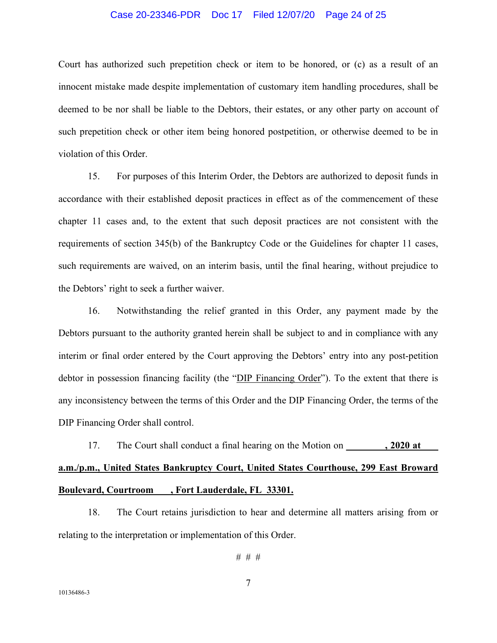#### Case 20-23346-PDR Doc 17 Filed 12/07/20 Page 24 of 25

Court has authorized such prepetition check or item to be honored, or (c) as a result of an innocent mistake made despite implementation of customary item handling procedures, shall be deemed to be nor shall be liable to the Debtors, their estates, or any other party on account of such prepetition check or other item being honored postpetition, or otherwise deemed to be in violation of this Order.

15. For purposes of this Interim Order, the Debtors are authorized to deposit funds in accordance with their established deposit practices in effect as of the commencement of these chapter 11 cases and, to the extent that such deposit practices are not consistent with the requirements of section 345(b) of the Bankruptcy Code or the Guidelines for chapter 11 cases, such requirements are waived, on an interim basis, until the final hearing, without prejudice to the Debtors' right to seek a further waiver.

16. Notwithstanding the relief granted in this Order, any payment made by the Debtors pursuant to the authority granted herein shall be subject to and in compliance with any interim or final order entered by the Court approving the Debtors' entry into any post-petition debtor in possession financing facility (the "DIP Financing Order"). To the extent that there is any inconsistency between the terms of this Order and the DIP Financing Order, the terms of the DIP Financing Order shall control.

17. The Court shall conduct a final hearing on the Motion on **.** 2020 at **a.m./p.m., United States Bankruptcy Court, United States Courthouse, 299 East Broward Boulevard, Courtroom , Fort Lauderdale, FL 33301.** 

18. The Court retains jurisdiction to hear and determine all matters arising from or relating to the interpretation or implementation of this Order.

# # #

7